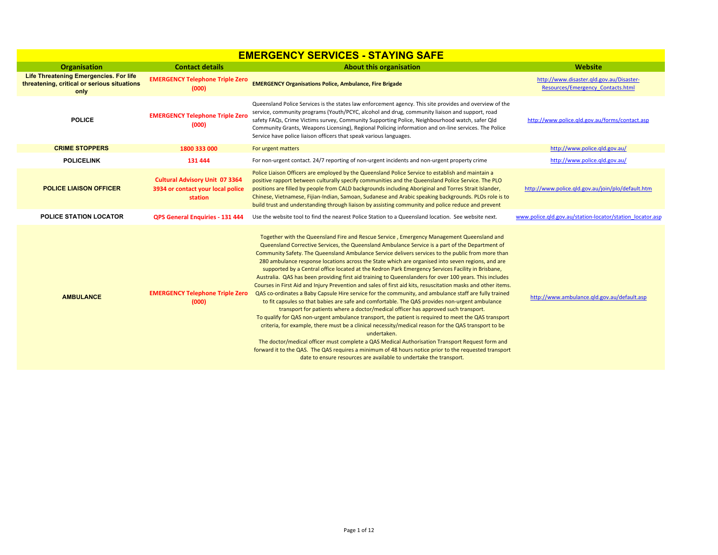| <b>EMERGENCY SERVICES - STAYING SAFE</b>                                                             |                                                                                       |                                                                                                                                                                                                                                                                                                                                                                                                                                                                                                                                                                                                                                                                                                                                                                                                                                                                                                                                                                                                                                                                                                                                                                                                                                                                                                                                                                                                                                                                                                                                                          |                                                                               |
|------------------------------------------------------------------------------------------------------|---------------------------------------------------------------------------------------|----------------------------------------------------------------------------------------------------------------------------------------------------------------------------------------------------------------------------------------------------------------------------------------------------------------------------------------------------------------------------------------------------------------------------------------------------------------------------------------------------------------------------------------------------------------------------------------------------------------------------------------------------------------------------------------------------------------------------------------------------------------------------------------------------------------------------------------------------------------------------------------------------------------------------------------------------------------------------------------------------------------------------------------------------------------------------------------------------------------------------------------------------------------------------------------------------------------------------------------------------------------------------------------------------------------------------------------------------------------------------------------------------------------------------------------------------------------------------------------------------------------------------------------------------------|-------------------------------------------------------------------------------|
| <b>Organisation</b>                                                                                  | <b>Contact details</b>                                                                | <b>About this organisation</b>                                                                                                                                                                                                                                                                                                                                                                                                                                                                                                                                                                                                                                                                                                                                                                                                                                                                                                                                                                                                                                                                                                                                                                                                                                                                                                                                                                                                                                                                                                                           | Website                                                                       |
| <b>Life Threatening Emergencies. For life</b><br>threatening, critical or serious situations<br>only | <b>EMERGENCY Telephone Triple Zero</b><br>(000)                                       | <b>EMERGENCY Organisations Police, Ambulance, Fire Brigade</b>                                                                                                                                                                                                                                                                                                                                                                                                                                                                                                                                                                                                                                                                                                                                                                                                                                                                                                                                                                                                                                                                                                                                                                                                                                                                                                                                                                                                                                                                                           | http://www.disaster.gld.gov.au/Disaster-<br>Resources/Emergency Contacts.html |
| <b>POLICE</b>                                                                                        | <b>EMERGENCY Telephone Triple Zero</b><br>(000)                                       | Queensland Police Services is the states law enforcement agency. This site provides and overview of the<br>service, community programs (Youth/PCYC, alcohol and drug, community liaison and support, road<br>safety FAQs, Crime Victims survey, Community Supporting Police, Neighbourhood watch, safer Qld<br>Community Grants, Weapons Licensing), Regional Policing information and on-line services. The Police<br>Service have police liaison officers that speak various languages.                                                                                                                                                                                                                                                                                                                                                                                                                                                                                                                                                                                                                                                                                                                                                                                                                                                                                                                                                                                                                                                                | http://www.police.gld.gov.au/forms/contact.asp                                |
| <b>CRIME STOPPERS</b>                                                                                | 1800 333 000                                                                          | For urgent matters                                                                                                                                                                                                                                                                                                                                                                                                                                                                                                                                                                                                                                                                                                                                                                                                                                                                                                                                                                                                                                                                                                                                                                                                                                                                                                                                                                                                                                                                                                                                       | http://www.police.qld.gov.au/                                                 |
| <b>POLICELINK</b>                                                                                    | 131 444                                                                               | For non-urgent contact. 24/7 reporting of non-urgent incidents and non-urgent property crime                                                                                                                                                                                                                                                                                                                                                                                                                                                                                                                                                                                                                                                                                                                                                                                                                                                                                                                                                                                                                                                                                                                                                                                                                                                                                                                                                                                                                                                             | http://www.police.qld.gov.au/                                                 |
| <b>POLICE LIAISON OFFICER</b>                                                                        | <b>Cultural Advisory Unit 07 3364</b><br>3934 or contact your local police<br>station | Police Liaison Officers are employed by the Queensland Police Service to establish and maintain a<br>positive rapport between culturally specify communities and the Queensland Police Service. The PLO<br>positions are filled by people from CALD backgrounds including Aboriginal and Torres Strait Islander,<br>Chinese, Vietnamese, Fijian-Indian, Samoan, Sudanese and Arabic speaking backgrounds. PLOs role is to<br>build trust and understanding through liaison by assisting community and police reduce and prevent                                                                                                                                                                                                                                                                                                                                                                                                                                                                                                                                                                                                                                                                                                                                                                                                                                                                                                                                                                                                                          | http://www.police.qld.gov.au/join/plo/default.htm                             |
| <b>POLICE STATION LOCATOR</b>                                                                        | QPS General Enquiries - 131 444                                                       | Use the website tool to find the nearest Police Station to a Queensland location. See website next.                                                                                                                                                                                                                                                                                                                                                                                                                                                                                                                                                                                                                                                                                                                                                                                                                                                                                                                                                                                                                                                                                                                                                                                                                                                                                                                                                                                                                                                      | www.police.gld.gov.au/station-locator/station_locator.asp                     |
| <b>AMBULANCE</b>                                                                                     | <b>EMERGENCY Telephone Triple Zero</b><br>(000)                                       | Together with the Queensland Fire and Rescue Service, Emergency Management Queensland and<br>Queensland Corrective Services, the Queensland Ambulance Service is a part of the Department of<br>Community Safety. The Queensland Ambulance Service delivers services to the public from more than<br>280 ambulance response locations across the State which are organised into seven regions, and are<br>supported by a Central office located at the Kedron Park Emergency Services Facility in Brisbane,<br>Australia. QAS has been providing first aid training to Queenslanders for over 100 years. This includes<br>Courses in First Aid and Injury Prevention and sales of first aid kits, resuscitation masks and other items.<br>QAS co-ordinates a Baby Capsule Hire service for the community, and ambulance staff are fully trained<br>to fit capsules so that babies are safe and comfortable. The QAS provides non-urgent ambulance<br>transport for patients where a doctor/medical officer has approved such transport.<br>To qualify for QAS non-urgent ambulance transport, the patient is required to meet the QAS transport<br>criteria, for example, there must be a clinical necessity/medical reason for the QAS transport to be<br>undertaken.<br>The doctor/medical officer must complete a QAS Medical Authorisation Transport Request form and<br>forward it to the QAS. The QAS requires a minimum of 48 hours notice prior to the requested transport<br>date to ensure resources are available to undertake the transport. | http://www.ambulance.gld.gov.au/default.asp                                   |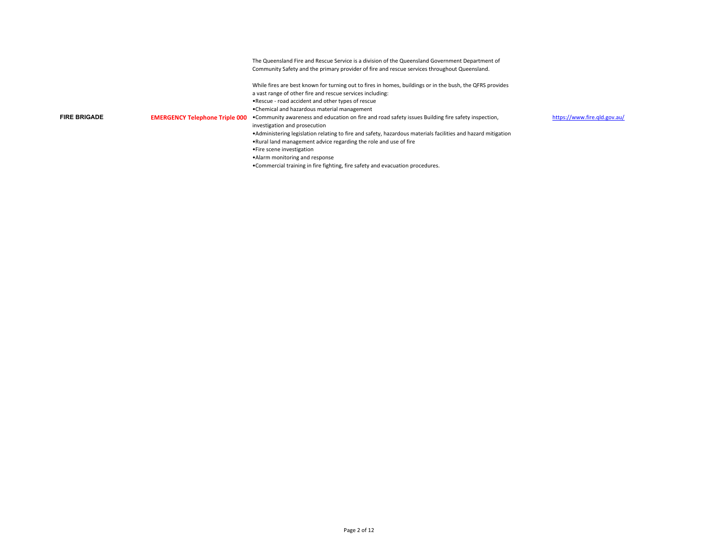|                     |                                       | The Queensland Fire and Rescue Service is a division of the Queensland Government Department of<br>Community Safety and the primary provider of fire and rescue services throughout Queensland.                                                                                                                                                                                                                                                                                                                                                                                                                                                                                                                                                             |                              |
|---------------------|---------------------------------------|-------------------------------------------------------------------------------------------------------------------------------------------------------------------------------------------------------------------------------------------------------------------------------------------------------------------------------------------------------------------------------------------------------------------------------------------------------------------------------------------------------------------------------------------------------------------------------------------------------------------------------------------------------------------------------------------------------------------------------------------------------------|------------------------------|
| <b>FIRE BRIGADE</b> | <b>EMERGENCY Telephone Triple 000</b> | While fires are best known for turning out to fires in homes, buildings or in the bush, the QFRS provides<br>a vast range of other fire and rescue services including:<br>. Rescue - road accident and other types of rescue<br>•Chemical and hazardous material management<br>• Community awareness and education on fire and road safety issues Building fire safety inspection,<br>investigation and prosecution<br>• Administering legislation relating to fire and safety, hazardous materials facilities and hazard mitigation<br>. Rural land management advice regarding the role and use of fire<br>• Fire scene investigation<br>•Alarm monitoring and response<br>• Commercial training in fire fighting, fire safety and evacuation procedures. | https://www.fire.gld.gov.au/ |
|                     |                                       |                                                                                                                                                                                                                                                                                                                                                                                                                                                                                                                                                                                                                                                                                                                                                             |                              |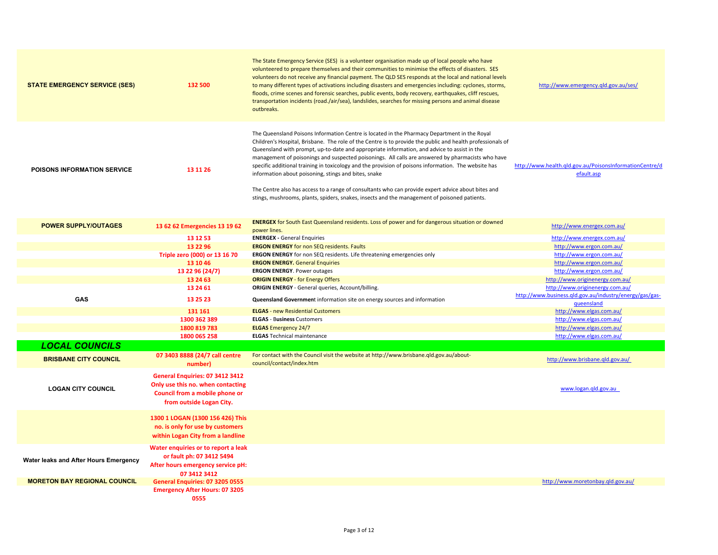| <b>STATE EMERGENCY SERVICE (SES)</b>  | 132 500                                                                                                                            | The State Emergency Service (SES) is a volunteer organisation made up of local people who have<br>volunteered to prepare themselves and their communities to minimise the effects of disasters. SES<br>volunteers do not receive any financial payment. The QLD SES responds at the local and national levels<br>to many different types of activations including disasters and emergencies including: cyclones, storms,<br>floods, crime scenes and forensic searches, public events, body recovery, earthquakes, cliff rescues,<br>transportation incidents (road./air/sea), landslides, searches for missing persons and animal disease<br>outbreaks.                                                                                                                             | http://www.emergency.gld.gov.au/ses/                                  |
|---------------------------------------|------------------------------------------------------------------------------------------------------------------------------------|--------------------------------------------------------------------------------------------------------------------------------------------------------------------------------------------------------------------------------------------------------------------------------------------------------------------------------------------------------------------------------------------------------------------------------------------------------------------------------------------------------------------------------------------------------------------------------------------------------------------------------------------------------------------------------------------------------------------------------------------------------------------------------------|-----------------------------------------------------------------------|
| <b>POISONS INFORMATION SERVICE</b>    | 13 11 26                                                                                                                           | The Queensland Poisons Information Centre is located in the Pharmacy Department in the Royal<br>Children's Hospital, Brisbane. The role of the Centre is to provide the public and health professionals of<br>Queensland with prompt, up-to-date and appropriate information, and advice to assist in the<br>management of poisonings and suspected poisonings. All calls are answered by pharmacists who have<br>specific additional training in toxicology and the provision of poisons information. The website has<br>information about poisoning, stings and bites, snake<br>The Centre also has access to a range of consultants who can provide expert advice about bites and<br>stings, mushrooms, plants, spiders, snakes, insects and the management of poisoned patients. | http://www.health.gld.gov.au/PoisonsInformationCentre/d<br>efault.asp |
| <b>POWER SUPPLY/OUTAGES</b>           | 13 62 62 Emergencies 13 19 62                                                                                                      | <b>ENERGEX</b> for South East Queensland residents. Loss of power and for dangerous situation or downed<br>power lines.                                                                                                                                                                                                                                                                                                                                                                                                                                                                                                                                                                                                                                                              | http://www.energex.com.au/                                            |
|                                       | 13 12 53                                                                                                                           | <b>ENERGEX</b> - General Enquiries                                                                                                                                                                                                                                                                                                                                                                                                                                                                                                                                                                                                                                                                                                                                                   | http://www.energex.com.au/                                            |
|                                       | 13 22 96                                                                                                                           | <b>ERGON ENERGY</b> for non SEQ residents. Faults                                                                                                                                                                                                                                                                                                                                                                                                                                                                                                                                                                                                                                                                                                                                    | http://www.ergon.com.au/                                              |
|                                       | Triple zero (000) or 13 16 70                                                                                                      | ERGON ENERGY for non SEQ residents. Life threatening emergencies only                                                                                                                                                                                                                                                                                                                                                                                                                                                                                                                                                                                                                                                                                                                | http://www.ergon.com.au/                                              |
|                                       | 13 10 46                                                                                                                           | <b>ERGON ENERGY.</b> General Enquiries                                                                                                                                                                                                                                                                                                                                                                                                                                                                                                                                                                                                                                                                                                                                               | http://www.ergon.com.au/                                              |
|                                       | 13 22 96 (24/7)                                                                                                                    | <b>ERGON ENERGY.</b> Power outages                                                                                                                                                                                                                                                                                                                                                                                                                                                                                                                                                                                                                                                                                                                                                   | http://www.ergon.com.au/                                              |
|                                       | 13 24 63                                                                                                                           | <b>ORIGIN ENERGY</b> - for Energy Offers                                                                                                                                                                                                                                                                                                                                                                                                                                                                                                                                                                                                                                                                                                                                             | http://www.originenergy.com.au/                                       |
|                                       | 13 24 61                                                                                                                           | <b>ORIGIN ENERGY</b> - General queries, Account/billing.                                                                                                                                                                                                                                                                                                                                                                                                                                                                                                                                                                                                                                                                                                                             | http://www.originenergy.com.au/                                       |
|                                       |                                                                                                                                    |                                                                                                                                                                                                                                                                                                                                                                                                                                                                                                                                                                                                                                                                                                                                                                                      | http://www.business.gld.gov.au/industry/energy/gas/gas-               |
| <b>GAS</b>                            | 13 25 23                                                                                                                           | Queensland Government information site on energy sources and information                                                                                                                                                                                                                                                                                                                                                                                                                                                                                                                                                                                                                                                                                                             | queensland                                                            |
|                                       | 131 161                                                                                                                            | <b>ELGAS</b> - new Residential Customers                                                                                                                                                                                                                                                                                                                                                                                                                                                                                                                                                                                                                                                                                                                                             | http://www.elgas.com.au/                                              |
|                                       | 1300 362 389                                                                                                                       | <b>ELGAS - Business Customers</b>                                                                                                                                                                                                                                                                                                                                                                                                                                                                                                                                                                                                                                                                                                                                                    | http://www.elgas.com.au/                                              |
|                                       | 1800 819 783                                                                                                                       | <b>ELGAS Emergency 24/7</b>                                                                                                                                                                                                                                                                                                                                                                                                                                                                                                                                                                                                                                                                                                                                                          | http://www.elgas.com.au/                                              |
|                                       | 1800 065 258                                                                                                                       | <b>ELGAS</b> Technical maintenance                                                                                                                                                                                                                                                                                                                                                                                                                                                                                                                                                                                                                                                                                                                                                   | http://www.elgas.com.au/                                              |
| <b>LOCAL COUNCILS</b>                 |                                                                                                                                    |                                                                                                                                                                                                                                                                                                                                                                                                                                                                                                                                                                                                                                                                                                                                                                                      |                                                                       |
|                                       |                                                                                                                                    |                                                                                                                                                                                                                                                                                                                                                                                                                                                                                                                                                                                                                                                                                                                                                                                      |                                                                       |
| <b>BRISBANE CITY COUNCIL</b>          | 07 3403 8888 (24/7 call centre<br>number)                                                                                          | For contact with the Council visit the website at http://www.brisbane.qld.gov.au/about-<br>council/contact/index.htm                                                                                                                                                                                                                                                                                                                                                                                                                                                                                                                                                                                                                                                                 | http://www.brisbane.gld.gov.au/                                       |
| <b>LOGAN CITY COUNCIL</b>             | General Enquiries: 07 3412 3412<br>Only use this no. when contacting<br>Council from a mobile phone or<br>from outside Logan City. |                                                                                                                                                                                                                                                                                                                                                                                                                                                                                                                                                                                                                                                                                                                                                                                      | www.logan.qld.gov.au                                                  |
|                                       | 1300 1 LOGAN (1300 156 426) This<br>no. is only for use by customers<br>within Logan City from a landline                          |                                                                                                                                                                                                                                                                                                                                                                                                                                                                                                                                                                                                                                                                                                                                                                                      |                                                                       |
| Water leaks and After Hours Emergency | Water enquiries or to report a leak<br>or fault ph: 07 3412 5494<br>After hours emergency service pH:<br>07 3412 3412              |                                                                                                                                                                                                                                                                                                                                                                                                                                                                                                                                                                                                                                                                                                                                                                                      |                                                                       |
| <b>MORETON BAY REGIONAL COUNCIL</b>   | <b>General Enquiries: 07 3205 0555</b>                                                                                             |                                                                                                                                                                                                                                                                                                                                                                                                                                                                                                                                                                                                                                                                                                                                                                                      | http://www.moretonbay.gld.gov.au/                                     |
|                                       | <b>Emergency After Hours: 07 3205</b><br>0555                                                                                      |                                                                                                                                                                                                                                                                                                                                                                                                                                                                                                                                                                                                                                                                                                                                                                                      |                                                                       |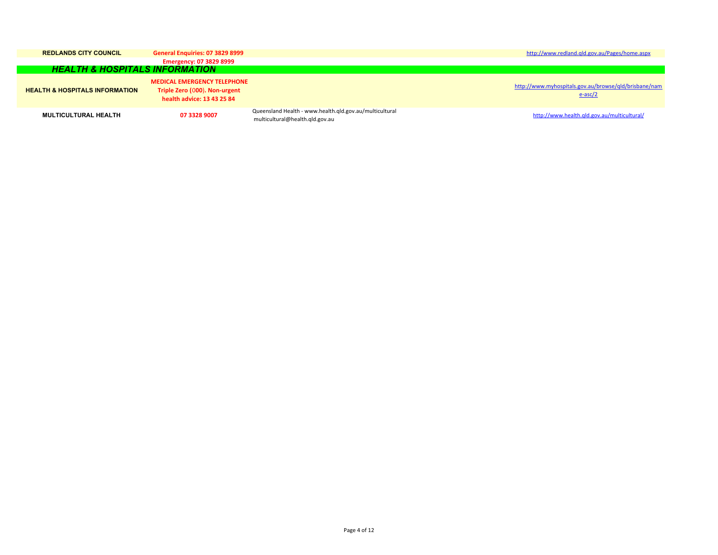| <b>REDLANDS CITY COUNCIL</b>              | General Enquiries: 07 3829 8999                                                                   |                                                                                            | http://www.redland.qld.gov.au/Pages/home.aspx                       |
|-------------------------------------------|---------------------------------------------------------------------------------------------------|--------------------------------------------------------------------------------------------|---------------------------------------------------------------------|
|                                           | <b>Emergency: 07 3829 8999</b>                                                                    |                                                                                            |                                                                     |
| <b>HEALTH &amp; HOSPITALS INFORMATION</b> |                                                                                                   |                                                                                            |                                                                     |
| <b>HEALTH &amp; HOSPITALS INFORMATION</b> | <b>MEDICAL EMERGENCY TELEPHONE</b><br>Triple Zero (000). Non-urgent<br>health advice: 13 43 25 84 |                                                                                            | http://www.myhospitals.gov.au/browse/gld/brisbane/nam<br>$e$ -asc/2 |
| <b>MULTICULTURAL HEALTH</b>               | 07 3328 9007                                                                                      | Queensland Health - www.health.qld.gov.au/multicultural<br>multicultural@health.gld.gov.au | http://www.health.qld.gov.au/multicultural/                         |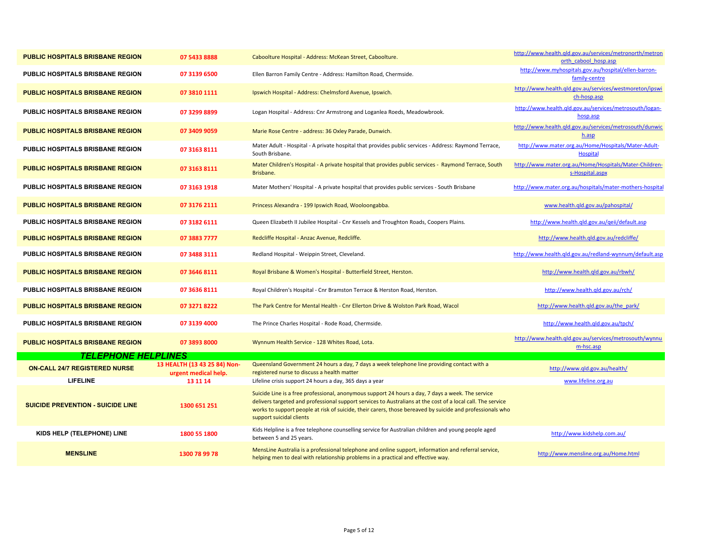| <b>PUBLIC HOSPITALS BRISBANE REGION</b>  | 07 5433 8888                                         | Caboolture Hospital - Address: McKean Street, Caboolture.                                                                                                                                                                                                                                                                                                 | http://www.health.qld.gov.au/services/metronorth/metron<br>orth cabool hosp.asp |
|------------------------------------------|------------------------------------------------------|-----------------------------------------------------------------------------------------------------------------------------------------------------------------------------------------------------------------------------------------------------------------------------------------------------------------------------------------------------------|---------------------------------------------------------------------------------|
| PUBLIC HOSPITALS BRISBANE REGION         | 07 3139 6500                                         | Ellen Barron Family Centre - Address: Hamilton Road, Chermside.                                                                                                                                                                                                                                                                                           | http://www.myhospitals.gov.au/hospital/ellen-barron-<br>family-centre           |
| <b>PUBLIC HOSPITALS BRISBANE REGION</b>  | 07 3810 1111                                         | Ipswich Hospital - Address: Chelmsford Avenue, Ipswich.                                                                                                                                                                                                                                                                                                   | http://www.health.qld.gov.au/services/westmoreton/ipswi<br>ch-hosp.asp          |
| PUBLIC HOSPITALS BRISBANE REGION         | 07 3299 8899                                         | Logan Hospital - Address: Cnr Armstrong and Loganlea Roeds, Meadowbrook.                                                                                                                                                                                                                                                                                  | http://www.health.gld.gov.au/services/metrosouth/logan-<br>hosp.asp             |
| <b>PUBLIC HOSPITALS BRISBANE REGION</b>  | 07 3409 9059                                         | Marie Rose Centre - address: 36 Oxley Parade, Dunwich.                                                                                                                                                                                                                                                                                                    | http://www.health.gld.gov.au/services/metrosouth/dunwic<br>h.asp                |
| <b>PUBLIC HOSPITALS BRISBANE REGION</b>  | 07 3163 8111                                         | Mater Adult - Hospital - A private hospital that provides public services - Address: Raymond Terrace,<br>South Brisbane.                                                                                                                                                                                                                                  | http://www.mater.org.au/Home/Hospitals/Mater-Adult-<br><b>Hospital</b>          |
| <b>PUBLIC HOSPITALS BRISBANE REGION</b>  | 07 3163 8111                                         | Mater Children's Hospital - A private hospital that provides public services - Raymond Terrace, South<br>Brisbane.                                                                                                                                                                                                                                        | http://www.mater.org.au/Home/Hospitals/Mater-Children-<br>s-Hospital.aspx       |
| <b>PUBLIC HOSPITALS BRISBANE REGION</b>  | 07 3163 1918                                         | Mater Mothers' Hospital - A private hospital that provides public services - South Brisbane                                                                                                                                                                                                                                                               | http://www.mater.org.au/hospitals/mater-mothers-hospital                        |
| <b>PUBLIC HOSPITALS BRISBANE REGION</b>  | 07 3176 2111                                         | Princess Alexandra - 199 Ipswich Road, Wooloongabba.                                                                                                                                                                                                                                                                                                      | www.health.qld.gov.au/pahospital/                                               |
| PUBLIC HOSPITALS BRISBANE REGION         | 07 3182 6111                                         | Queen Elizabeth II Jubilee Hospital - Cnr Kessels and Troughton Roads, Coopers Plains.                                                                                                                                                                                                                                                                    | http://www.health.gld.gov.au/geii/default.asp                                   |
| <b>PUBLIC HOSPITALS BRISBANE REGION</b>  | 07 3883 7777                                         | Redcliffe Hospital - Anzac Avenue, Redcliffe.                                                                                                                                                                                                                                                                                                             | http://www.health.gld.gov.au/redcliffe/                                         |
| <b>PUBLIC HOSPITALS BRISBANE REGION</b>  | 07 3488 3111                                         | Redland Hospital - Weippin Street, Cleveland.                                                                                                                                                                                                                                                                                                             | http://www.health.qld.gov.au/redland-wynnum/default.asp                         |
| <b>PUBLIC HOSPITALS BRISBANE REGION</b>  | 07 3646 8111                                         | Royal Brisbane & Women's Hospital - Butterfield Street, Herston.                                                                                                                                                                                                                                                                                          | http://www.health.qld.gov.au/rbwh/                                              |
| <b>PUBLIC HOSPITALS BRISBANE REGION</b>  | 07 3636 8111                                         | Royal Children's Hospital - Cnr Bramston Terrace & Herston Road, Herston.                                                                                                                                                                                                                                                                                 | http://www.health.qld.gov.au/rch/                                               |
| <b>PUBLIC HOSPITALS BRISBANE REGION</b>  | 07 3271 8222                                         | The Park Centre for Mental Health - Cnr Ellerton Drive & Wolston Park Road, Wacol                                                                                                                                                                                                                                                                         | http://www.health.qld.gov.au/the_park/                                          |
| <b>PUBLIC HOSPITALS BRISBANE REGION</b>  | 07 3139 4000                                         | The Prince Charles Hospital - Rode Road, Chermside.                                                                                                                                                                                                                                                                                                       | http://www.health.gld.gov.au/tpch/                                              |
| <b>PUBLIC HOSPITALS BRISBANE REGION</b>  | 07 3893 8000                                         | Wynnum Health Service - 128 Whites Road, Lota.                                                                                                                                                                                                                                                                                                            | http://www.health.gld.gov.au/services/metrosouth/wynnu<br>m-hsc.asp             |
| <b>TELEPHONE HELPLINES</b>               |                                                      |                                                                                                                                                                                                                                                                                                                                                           |                                                                                 |
| <b>ON-CALL 24/7 REGISTERED NURSE</b>     | 13 HEALTH (13 43 25 84) Non-<br>urgent medical help. | Queensland Government 24 hours a day, 7 days a week telephone line providing contact with a<br>registered nurse to discuss a health matter                                                                                                                                                                                                                | http://www.gld.gov.au/health/                                                   |
| <b>LIFELINE</b>                          | 13 11 14                                             | Lifeline crisis support 24 hours a day, 365 days a year                                                                                                                                                                                                                                                                                                   | www.lifeline.org.au                                                             |
| <b>SUICIDE PREVENTION - SUICIDE LINE</b> | 1300 651 251                                         | Suicide Line is a free professional, anonymous support 24 hours a day, 7 days a week. The service<br>delivers targeted and professional support services to Australians at the cost of a local call. The service<br>works to support people at risk of suicide, their carers, those bereaved by suicide and professionals who<br>support suicidal clients |                                                                                 |
| KIDS HELP (TELEPHONE) LINE               | 1800 55 1800                                         | Kids Helpline is a free telephone counselling service for Australian children and young people aged<br>between 5 and 25 years.                                                                                                                                                                                                                            | http://www.kidshelp.com.au/                                                     |
| <b>MENSLINE</b>                          | 1300 78 99 78                                        | MensLine Australia is a professional telephone and online support, information and referral service,<br>helping men to deal with relationship problems in a practical and effective way.                                                                                                                                                                  | http://www.mensline.org.au/Home.html                                            |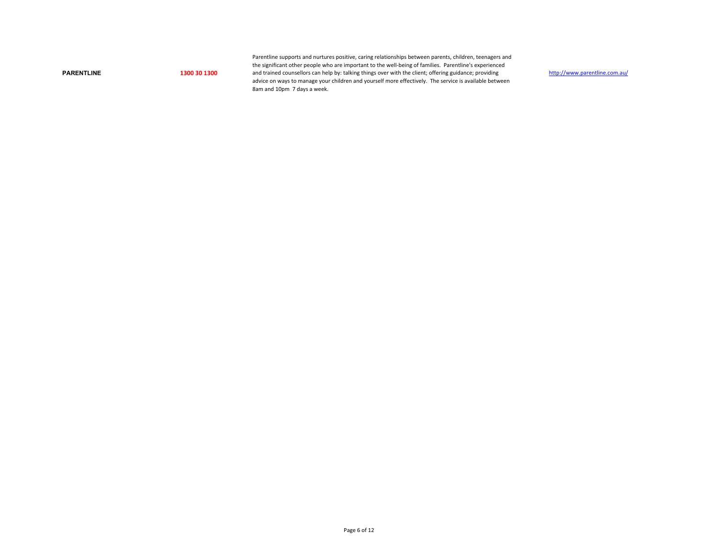**PARENTLINE**

**1300 30 1300**

Parentline supports and nurtures positive, caring relationships between parents, children, teenagers and the significant other people who are important to the well-being of families. Parentline's experienced and trained counsellors can help by: talking things over with the client; offering guidance; providing advice on ways to manage your children and yourself more effectively. The service is available between 8am and 10pm 7 days a week.

http://www.parentline.com.au/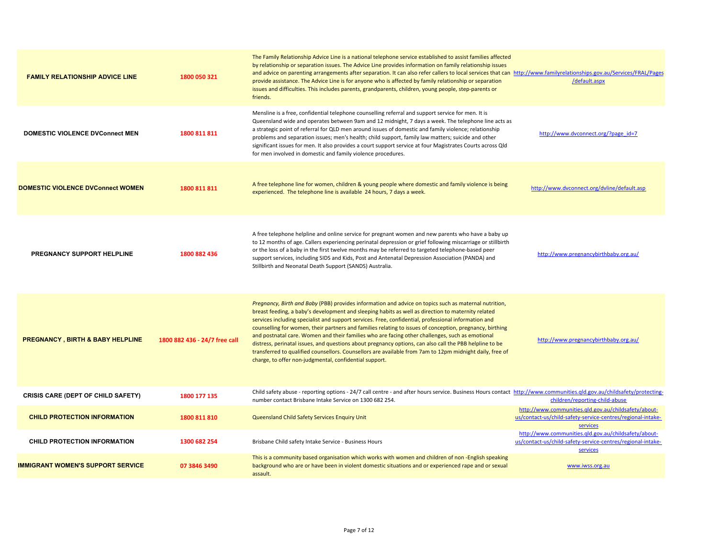| <b>FAMILY RELATIONSHIP ADVICE LINE</b>      | 1800 050 321                  | The Family Relationship Advice Line is a national telephone service established to assist families affected<br>by relationship or separation issues. The Advice Line provides information on family relationship issues<br>and advice on parenting arrangements after separation. It can also refer callers to local services that can http://www.familyrelationships.gov.au/Services/FRAL/Pages<br>provide assistance. The Advice Line is for anyone who is affected by family relationship or separation<br>issues and difficulties. This includes parents, grandparents, children, young people, step-parents or<br>friends.                                                                                                                                                                                     | /default.aspx                                                                                                                   |
|---------------------------------------------|-------------------------------|---------------------------------------------------------------------------------------------------------------------------------------------------------------------------------------------------------------------------------------------------------------------------------------------------------------------------------------------------------------------------------------------------------------------------------------------------------------------------------------------------------------------------------------------------------------------------------------------------------------------------------------------------------------------------------------------------------------------------------------------------------------------------------------------------------------------|---------------------------------------------------------------------------------------------------------------------------------|
| <b>DOMESTIC VIOLENCE DVConnect MEN</b>      | 1800 811 811                  | Mensline is a free, confidential telephone counselling referral and support service for men. It is<br>Queensland wide and operates between 9am and 12 midnight, 7 days a week. The telephone line acts as<br>a strategic point of referral for QLD men around issues of domestic and family violence; relationship<br>problems and separation issues; men's health; child support, family law matters; suicide and other<br>significant issues for men. It also provides a court support service at four Magistrates Courts across Qld<br>for men involved in domestic and family violence procedures.                                                                                                                                                                                                              | http://www.dvconnect.org/?page_id=7                                                                                             |
| <b>DOMESTIC VIOLENCE DVConnect WOMEN</b>    | 1800 811 811                  | A free telephone line for women, children & young people where domestic and family violence is being<br>experienced. The telephone line is available 24 hours, 7 days a week.                                                                                                                                                                                                                                                                                                                                                                                                                                                                                                                                                                                                                                       | http://www.dvconnect.org/dvline/default.asp                                                                                     |
| <b>PREGNANCY SUPPORT HELPLINE</b>           | 1800 882 436                  | A free telephone helpline and online service for pregnant women and new parents who have a baby up<br>to 12 months of age. Callers experiencing perinatal depression or grief following miscarriage or stillbirth<br>or the loss of a baby in the first twelve months may be referred to targeted telephone-based peer<br>support services, including SIDS and Kids, Post and Antenatal Depression Association (PANDA) and<br>Stillbirth and Neonatal Death Support (SANDS) Australia.                                                                                                                                                                                                                                                                                                                              | http://www.pregnancybirthbaby.org.au/                                                                                           |
| <b>PREGNANCY, BIRTH &amp; BABY HELPLINE</b> | 1800 882 436 - 24/7 free call | Pregnancy, Birth and Baby (PBB) provides information and advice on topics such as maternal nutrition,<br>breast feeding, a baby's development and sleeping habits as well as direction to maternity related<br>services including specialist and support services. Free, confidential, professional information and<br>counselling for women, their partners and families relating to issues of conception, pregnancy, birthing<br>and postnatal care. Women and their families who are facing other challenges, such as emotional<br>distress, perinatal issues, and questions about pregnancy options, can also call the PBB helpline to be<br>transferred to qualified counsellors. Counsellors are available from 7am to 12pm midnight daily, free of<br>charge, to offer non-judgmental, confidential support. | http://www.pregnancybirthbaby.org.au/                                                                                           |
| CRISIS CARE (DEPT OF CHILD SAFETY)          | 1800 177 135                  | Child safety abuse - reporting options - 24/7 call centre - and after hours service. Business Hours contact http://www.communities.qld.gov.au/childsafety/protecting-<br>number contact Brisbane Intake Service on 1300 682 254.                                                                                                                                                                                                                                                                                                                                                                                                                                                                                                                                                                                    | children/reporting-child-abuse                                                                                                  |
| <b>CHILD PROTECTION INFORMATION</b>         | 1800 811 810                  | Queensland Child Safety Services Enquiry Unit                                                                                                                                                                                                                                                                                                                                                                                                                                                                                                                                                                                                                                                                                                                                                                       | http://www.communities.gld.gov.au/childsafety/about-<br>us/contact-us/child-safety-service-centres/regional-intake-<br>services |
| <b>CHILD PROTECTION INFORMATION</b>         | 1300 682 254                  | Brisbane Child safety Intake Service - Business Hours                                                                                                                                                                                                                                                                                                                                                                                                                                                                                                                                                                                                                                                                                                                                                               | http://www.communities.gld.gov.au/childsafety/about-<br>us/contact-us/child-safety-service-centres/regional-intake-<br>services |
| <b>IMMIGRANT WOMEN'S SUPPORT SERVICE</b>    | 07 3846 3490                  | This is a community based organisation which works with women and children of non-English speaking<br>background who are or have been in violent domestic situations and or experienced rape and or sexual<br>assault.                                                                                                                                                                                                                                                                                                                                                                                                                                                                                                                                                                                              | www.iwss.org.au                                                                                                                 |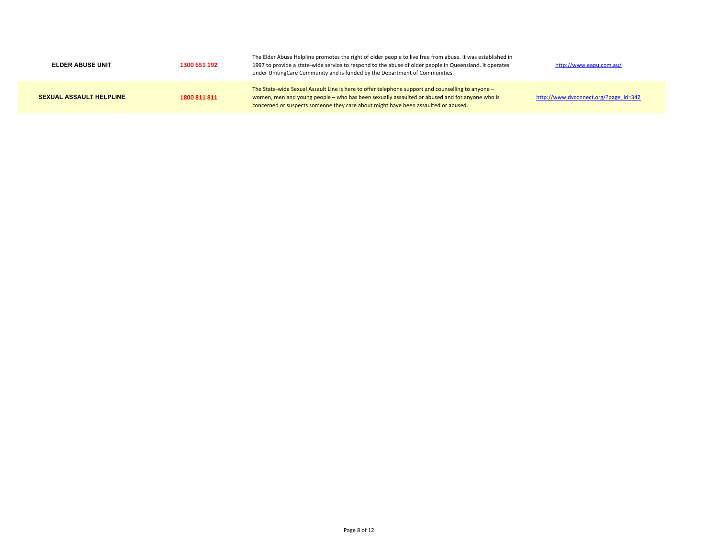| <b>ELDER ABUSE UNIT</b>        | 1300 651 192 | The Elder Abuse Helpline promotes the right of older people to live free from abuse. It was established in<br>1997 to provide a state-wide service to respond to the abuse of older people in Queensland. It operates<br>under UnitingCare Community and is funded by the Department of Communities. | http://www.eapu.com.au/               |
|--------------------------------|--------------|------------------------------------------------------------------------------------------------------------------------------------------------------------------------------------------------------------------------------------------------------------------------------------------------------|---------------------------------------|
| <b>SEXUAL ASSAULT HELPLINE</b> | 1800 811 811 | The State-wide Sexual Assault Line is here to offer telephone support and counselling to anyone -<br>women, men and young people – who has been sexually assaulted or abused and for anyone who is<br>concerned or suspects someone they care about might have been assaulted or abused.             | http://www.dvconnect.org/?page_id=342 |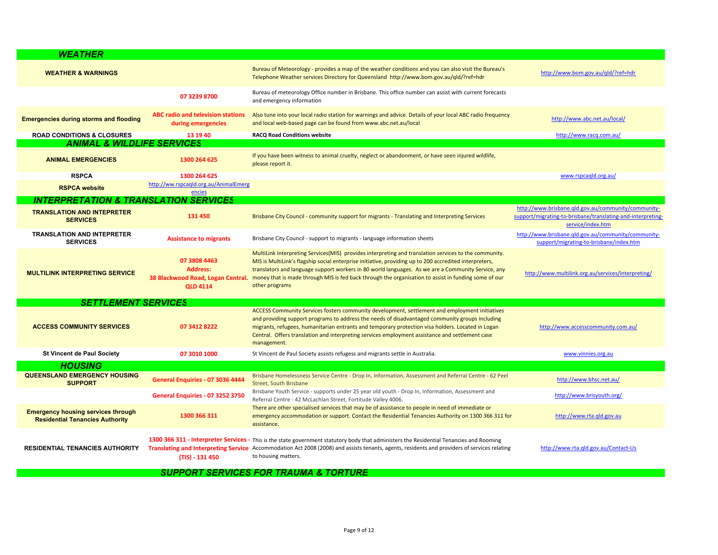| <b>WEATHER</b>                                                                      |                                                                                         |                                                                                                                                                                                                                                                                                                                                                                                                                                                  |                                                                                                |
|-------------------------------------------------------------------------------------|-----------------------------------------------------------------------------------------|--------------------------------------------------------------------------------------------------------------------------------------------------------------------------------------------------------------------------------------------------------------------------------------------------------------------------------------------------------------------------------------------------------------------------------------------------|------------------------------------------------------------------------------------------------|
| <b>WEATHER &amp; WARNINGS</b>                                                       |                                                                                         | Bureau of Meteorology - provides a map of the weather conditions and you can also visit the Bureau's<br>Telephone Weather services Directory for Queensland http://www.bom.gov.au/qld/?ref=hdr                                                                                                                                                                                                                                                   | http://www.bom.gov.au/gld/?ref=hdr                                                             |
|                                                                                     | 07 3239 8700                                                                            | Bureau of meteorology Office number in Brisbane. This office number can assist with current forecasts<br>and emergency information                                                                                                                                                                                                                                                                                                               |                                                                                                |
| <b>Emergencies during storms and flooding</b>                                       | <b>ABC radio and television stations</b><br>during emergencies                          | Also tune into your local radio station for warnings and advice. Details of your local ABC radio frequency<br>and local web-based page can be found from www.abc.net.au/local                                                                                                                                                                                                                                                                    | http://www.abc.net.au/local/                                                                   |
| <b>ROAD CONDITIONS &amp; CLOSURES</b>                                               | 13 19 40                                                                                | <b>RACQ Road Conditions website</b>                                                                                                                                                                                                                                                                                                                                                                                                              | http://www.racq.com.au/                                                                        |
| <b>ANIMAL &amp; WILDLIFE SERVICES</b>                                               |                                                                                         |                                                                                                                                                                                                                                                                                                                                                                                                                                                  |                                                                                                |
| <b>ANIMAL EMERGENCIES</b>                                                           | 1300 264 625                                                                            | If you have been witness to animal cruelty, neglect or abandonment, or have seen injured wildlife,<br>please report it.                                                                                                                                                                                                                                                                                                                          |                                                                                                |
| <b>RSPCA</b>                                                                        | 1300 264 625                                                                            |                                                                                                                                                                                                                                                                                                                                                                                                                                                  | www.rspcagld.org.au/                                                                           |
| <b>RSPCA website</b>                                                                | http://ww.rspcagld.org.au/AnimalEmerg                                                   |                                                                                                                                                                                                                                                                                                                                                                                                                                                  |                                                                                                |
| <b>INTERPRETATION &amp; TRANSLATION SERVICES</b>                                    | encies                                                                                  |                                                                                                                                                                                                                                                                                                                                                                                                                                                  |                                                                                                |
|                                                                                     |                                                                                         |                                                                                                                                                                                                                                                                                                                                                                                                                                                  | http://www.brisbane.qld.gov.au/community/community-                                            |
| <b>TRANSLATION AND INTEPRETER</b><br><b>SERVICES</b>                                | 131 450                                                                                 | Brisbane City Council - community support for migrants - Translating and Interpreting Services                                                                                                                                                                                                                                                                                                                                                   | support/migrating-to-brisbane/translating-and-interpreting-<br>service/index.htm               |
| <b>TRANSLATION AND INTEPRETER</b><br><b>SERVICES</b>                                | <b>Assistance to migrants</b>                                                           | Brisbane City Council - support to migrants - language information sheets                                                                                                                                                                                                                                                                                                                                                                        | http://www.brisbane.gld.gov.au/community/community-<br>support/migrating-to-brisbane/index.htm |
| <b>MULTILINK INTERPRETING SERVICE</b>                                               | 07 3808 4463<br><b>Address:</b><br>38 Blackwood Road, Logan Central.<br><b>QLD 4114</b> | MultiLink Interpreting Services (MIS) provides interpreting and translation services to the community.<br>MIS is MultiLink's flagship social enterprise initiative, providing up to 200 accredited interpreters,<br>translators and language support workers in 80 world languages. As we are a Community Service, any<br>money that is made through MIS is fed back through the organisation to assist in funding some of our<br>other programs | http://www.multilink.org.au/services/interpreting/                                             |
| <b>SETTLEMENT SERVICES</b>                                                          |                                                                                         |                                                                                                                                                                                                                                                                                                                                                                                                                                                  |                                                                                                |
| <b>ACCESS COMMUNITY SERVICES</b>                                                    | 07 3412 8222                                                                            | ACCESS Community Services fosters community development, settlement and employment initiatives<br>and providing support programs to address the needs of disadvantaged community groups including<br>migrants, refugees, humanitarian entrants and temporary protection visa holders. Located in Logan<br>Central. Offers translation and interpreting services employment assistance and settlement case<br>management.                         | http://www.accesscommunity.com.au/                                                             |
| <b>St Vincent de Paul Society</b>                                                   | 07 3010 1000                                                                            | St Vincent de Paul Society assists refugess and migrants settle in Australia.                                                                                                                                                                                                                                                                                                                                                                    | www.vinnies.org.au                                                                             |
| <b>HOUSING</b>                                                                      |                                                                                         |                                                                                                                                                                                                                                                                                                                                                                                                                                                  |                                                                                                |
| <b>QUEENSLAND EMERGENCY HOUSING</b><br><b>SUPPORT</b>                               | General Enquiries - 07 3036 4444                                                        | Brisbane Homelessness Service Centre - Drop In, Information, Assessment and Referral Centre - 62 Peel<br>Street. South Brisbane                                                                                                                                                                                                                                                                                                                  | http://www.bhsc.net.au/                                                                        |
|                                                                                     | General Enquiries - 07 3252 3750                                                        | Brisbane Youth Service - supports under 25 year old youth - Drop In, Information, Assessment and<br>Referral Centre - 42 McLachlan Street, Fortitude Valley 4006.                                                                                                                                                                                                                                                                                | http://www.brisyouth.org/                                                                      |
| <b>Emergency housing services through</b><br><b>Residential Tenancies Authority</b> | 1300 366 311                                                                            | There are other specialised services that may be of assistance to people in need of immediate or<br>emergency accommodation or support. Contact the Residential Tenancies Authority on 1300 366 311 for<br>assistance.                                                                                                                                                                                                                           | http://www.rta.gld.gov.au                                                                      |
| <b>RESIDENTIAL TENANCIES AUTHORITY</b>                                              | (TIS) - 131 450                                                                         | 1300 366 311 - Interpreter Services - This is the state government statutory body that administers the Residential Tenancies and Rooming<br>Translating and Interpreting Service Accommodation Act 2008 (2008) and assists tenants, agents, residents and providers of services relating<br>to housing matters.                                                                                                                                  | http://www.rta.gld.gov.au/Contact-Us                                                           |
|                                                                                     |                                                                                         | SUPPORT SERVICES FOR TRAUMA & TORTURE                                                                                                                                                                                                                                                                                                                                                                                                            |                                                                                                |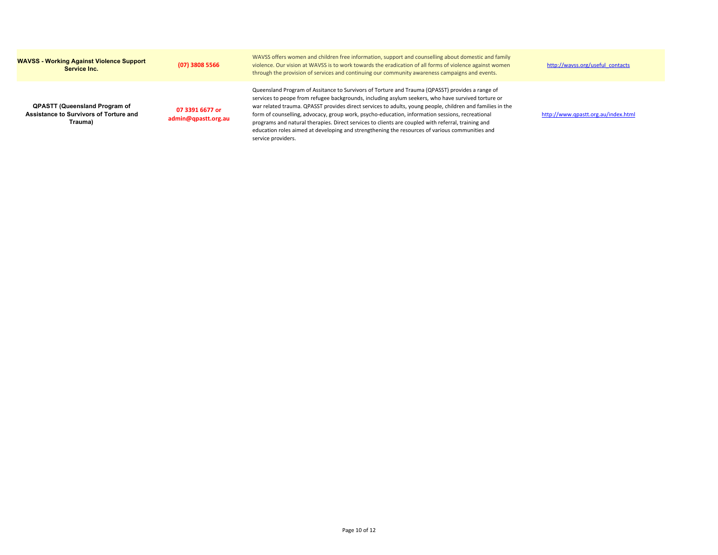| <b>WAVSS - Working Against Violence Support</b><br>Service Inc.                           | (07) 3808 5566                         | WAVSS offers women and children free information, support and counselling about domestic and family<br>violence. Our vision at WAVSS is to work towards the eradication of all forms of violence against women<br>through the provision of services and continuing our community awareness campaigns and events.                                                                                                                                                                                                                                                                                                                                    | http://wavss.org/useful contacts    |
|-------------------------------------------------------------------------------------------|----------------------------------------|-----------------------------------------------------------------------------------------------------------------------------------------------------------------------------------------------------------------------------------------------------------------------------------------------------------------------------------------------------------------------------------------------------------------------------------------------------------------------------------------------------------------------------------------------------------------------------------------------------------------------------------------------------|-------------------------------------|
| <b>QPASTT (Queensland Program of</b><br>Assistance to Survivors of Torture and<br>Trauma) | 07 3391 6677 or<br>admin@qpastt.org.au | Queensland Program of Assitance to Survivors of Torture and Trauma (QPASST) provides a range of<br>services to peope from refugee backgrounds, including asylum seekers, who have survived torture or<br>war related trauma. QPASST provides direct services to adults, young people, children and families in the<br>form of counselling, advocacy, group work, psycho-education, information sessions, recreational<br>programs and natural therapies. Direct services to clients are coupled with referral, training and<br>education roles aimed at developing and strengthening the resources of various communities and<br>service providers. | http://www.qpastt.org.au/index.html |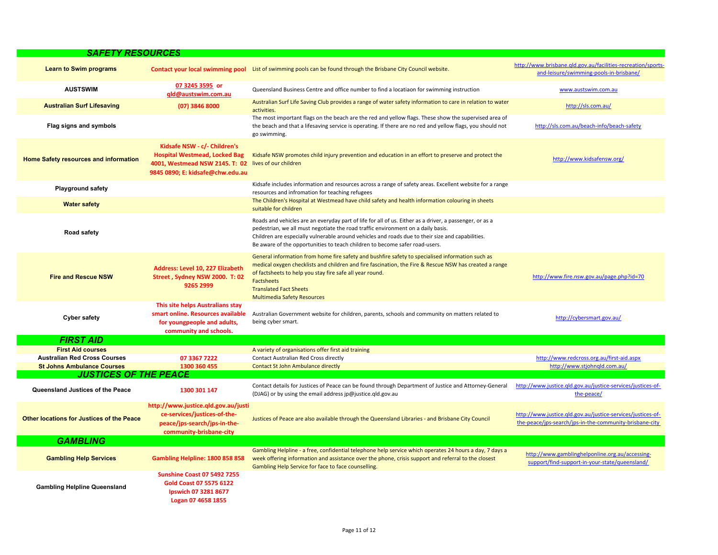| <i>SAFETY RESOURCES</i>                          |                                                                                                                                            |                                                                                                                                                                                                                                                                                                                                                                                |                                                                                                                        |
|--------------------------------------------------|--------------------------------------------------------------------------------------------------------------------------------------------|--------------------------------------------------------------------------------------------------------------------------------------------------------------------------------------------------------------------------------------------------------------------------------------------------------------------------------------------------------------------------------|------------------------------------------------------------------------------------------------------------------------|
| <b>Learn to Swim programs</b>                    |                                                                                                                                            | Contact your local swimming pool List of swimming pools can be found through the Brisbane City Council website.                                                                                                                                                                                                                                                                | http://www.brisbane.qld.gov.au/facilities-recreation/sports-<br>and-leisure/swimming-pools-in-brisbane/                |
| <b>AUSTSWIM</b>                                  | 07 3245 3595 or<br>gld@austswim.com.au                                                                                                     | Queensland Business Centre and office number to find a locatiaon for swimming instruction                                                                                                                                                                                                                                                                                      | www.austswim.com.au                                                                                                    |
| <b>Australian Surf Lifesaving</b>                | (07) 3846 8000                                                                                                                             | Australian Surf Life Saving Club provides a range of water safety information to care in relation to water<br>activities.                                                                                                                                                                                                                                                      | http://sls.com.au/                                                                                                     |
| Flag signs and symbols                           |                                                                                                                                            | The most important flags on the beach are the red and yellow flags. These show the supervised area of<br>the beach and that a lifesaving service is operating. If there are no red and yellow flags, you should not<br>go swimming.                                                                                                                                            | http://sls.com.au/beach-info/beach-safety                                                                              |
| Home Safety resources and information            | Kidsafe NSW - c/- Children's<br><b>Hospital Westmead, Locked Bag</b><br>4001, Westmead NSW 2145. T: 02<br>9845 0890; E: kidsafe@chw.edu.au | Kidsafe NSW promotes child injury prevention and education in an effort to preserve and protect the<br>lives of our children                                                                                                                                                                                                                                                   | http://www.kidsafensw.org/                                                                                             |
| <b>Playground safety</b>                         |                                                                                                                                            | Kidsafe includes information and resources across a range of safety areas. Excellent website for a range<br>resources and infromation for teaching refugees                                                                                                                                                                                                                    |                                                                                                                        |
| <b>Water safety</b>                              |                                                                                                                                            | The Children's Hospital at Westmead have child safety and health information colouring in sheets<br>suitable for children                                                                                                                                                                                                                                                      |                                                                                                                        |
| Road safety                                      |                                                                                                                                            | Roads and vehicles are an everyday part of life for all of us. Either as a driver, a passenger, or as a<br>pedestrian, we all must negotiate the road traffic environment on a daily basis.<br>Children are especially vulnerable around vehicles and roads due to their size and capabilities.<br>Be aware of the opportunities to teach children to become safer road-users. |                                                                                                                        |
| <b>Fire and Rescue NSW</b>                       | Address: Level 10, 227 Elizabeth<br>Street, Sydney NSW 2000. T: 02<br>9265 2999                                                            | General information from home fire safety and bushfire safety to specialised information such as<br>medical oxygen checklists and children and fire fascination, the Fire & Rescue NSW has created a range<br>of factsheets to help you stay fire safe all year round.<br>Factsheets<br><b>Translated Fact Sheets</b><br><b>Multimedia Safety Resources</b>                    | http://www.fire.nsw.gov.au/page.php?id=70                                                                              |
| <b>Cyber safety</b>                              | This site helps Australians stay<br>smart online. Resources available<br>for youngpeople and adults,<br>community and schools.             | Australian Government website for children, parents, schools and community on matters related to<br>being cyber smart.                                                                                                                                                                                                                                                         | http://cybersmart.gov.au/                                                                                              |
| <b>FIRST AID</b>                                 |                                                                                                                                            |                                                                                                                                                                                                                                                                                                                                                                                |                                                                                                                        |
| <b>First Aid courses</b>                         |                                                                                                                                            | A variety of organisations offer first aid training                                                                                                                                                                                                                                                                                                                            |                                                                                                                        |
| <b>Australian Red Cross Courses</b>              | 07 3367 7222                                                                                                                               | Contact Australian Red Cross directly                                                                                                                                                                                                                                                                                                                                          | http://www.redcross.org.au/first-aid.aspx                                                                              |
| <b>St Johns Ambulance Courses</b>                | 1300 360 455                                                                                                                               | Contact St John Ambulance directly                                                                                                                                                                                                                                                                                                                                             | http://www.stjohngld.com.au/                                                                                           |
| <b>JUSTICES OF THE PEACE</b>                     |                                                                                                                                            |                                                                                                                                                                                                                                                                                                                                                                                |                                                                                                                        |
| Queensland Justices of the Peace                 | 1300 301 147                                                                                                                               | Contact details for Justices of Peace can be found through Department of Justice and Attorney-General<br>(DJAG) or by using the email address jp@justice.qld.gov.au                                                                                                                                                                                                            | http://www.justice.gld.gov.au/justice-services/justices-of-<br>the-peace/                                              |
| <b>Other locations for Justices of the Peace</b> | http://www.justice.qld.gov.au/justi<br>ce-services/justices-of-the-<br>peace/jps-search/jps-in-the-<br>community-brisbane-city             | Justices of Peace are also available through the Queensland Libraries - and Brisbane City Council                                                                                                                                                                                                                                                                              | http://www.justice.gld.gov.au/justice-services/justices-of-<br>the-peace/jps-search/jps-in-the-community-brisbane-city |
| <b>GAMBLING</b>                                  |                                                                                                                                            |                                                                                                                                                                                                                                                                                                                                                                                |                                                                                                                        |
| <b>Gambling Help Services</b>                    | Gambling Helpline: 1800 858 858                                                                                                            | Gambling Helpline - a free, confidential telephone help service which operates 24 hours a day, 7 days a<br>week offering information and assistance over the phone, crisis support and referral to the closest<br>Gambling Help Service for face to face counselling.                                                                                                          | http://www.gamblinghelponline.org.au/accessing-<br>support/find-support-in-your-state/queensland/                      |
| <b>Gambling Helpline Queensland</b>              | <b>Sunshine Coast 07 5492 7255</b><br><b>Gold Coast 07 5575 6122</b><br>Ipswich 07 3281 8677<br>Logan 07 4658 1855                         |                                                                                                                                                                                                                                                                                                                                                                                |                                                                                                                        |